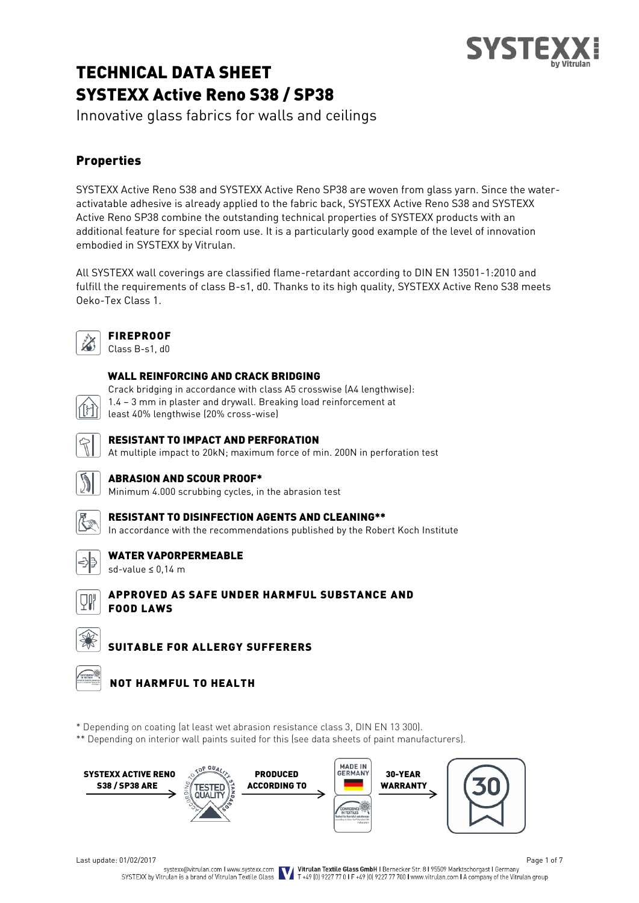# TECHNICAL DATA SHEET SYSTEXX Active Reno S38 / SP38

Innovative glass fabrics for walls and ceilings

# Properties

SYSTEXX Active Reno S38 and SYSTEXX Active Reno SP38 are woven from glass yarn. Since the wateractivatable adhesive is already applied to the fabric back, SYSTEXX Active Reno S38 and SYSTEXX Active Reno SP38 combine the outstanding technical properties of SYSTEXX products with an additional feature for special room use. It is a particularly good example of the level of innovation embodied in SYSTEXX by Vitrulan.

All SYSTEXX wall coverings are classified flame-retardant according to DIN EN 13501-1:2010 and fulfill the requirements of class B-s1, d0. Thanks to its high quality, SYSTEXX Active Reno S38 meets Oeko-Tex Class 1.



# FIREPROOF

Class B-s1, d0

#### WALL REINFORCING AND CRACK BRIDGING

Crack bridging in accordance with class A5 crosswise (A4 lengthwise):

1.4 – 3 mm in plaster and drywall. Breaking load reinforcement at

least 40% lengthwise (20% cross-wise)



#### RESISTANT TO IMPACT AND PERFORATION

At multiple impact to 20kN; maximum force of min. 200N in perforation test

#### ABRASION AND SCOUR PROOF\*

Minimum 4.000 scrubbing cycles, in the abrasion test



# RESISTANT TO DISINFECTION AGENTS AND CLEANING\*\*

In accordance with the recommendations published by the Robert Koch Institute



### WATER VAPORPERMEABLE

sd-value ≤ 0,14 m



### APPROVED AS SAFE UNDER HARMFUL SUBSTANCE AND FOOD LAWS

SUITABLE FOR ALLERGY SUFFERERS



## NOT HARMFUL TO HEALTH

\* Depending on coating (at least wet abrasion resistance class 3, DIN EN 13 300).

\*\* Depending on interior wall paints suited for this (see data sheets of paint manufacturers).



Page 1 of 7<br>Systexx@vitrulan.com I www.systexx.com<br>SYSTEXX by Vitrulan is a brand of Vitrulan Textile Glass **Vitrulan Textile Glass GmbH** I Bernecker Str. 8195509 Marktschorgast I Germany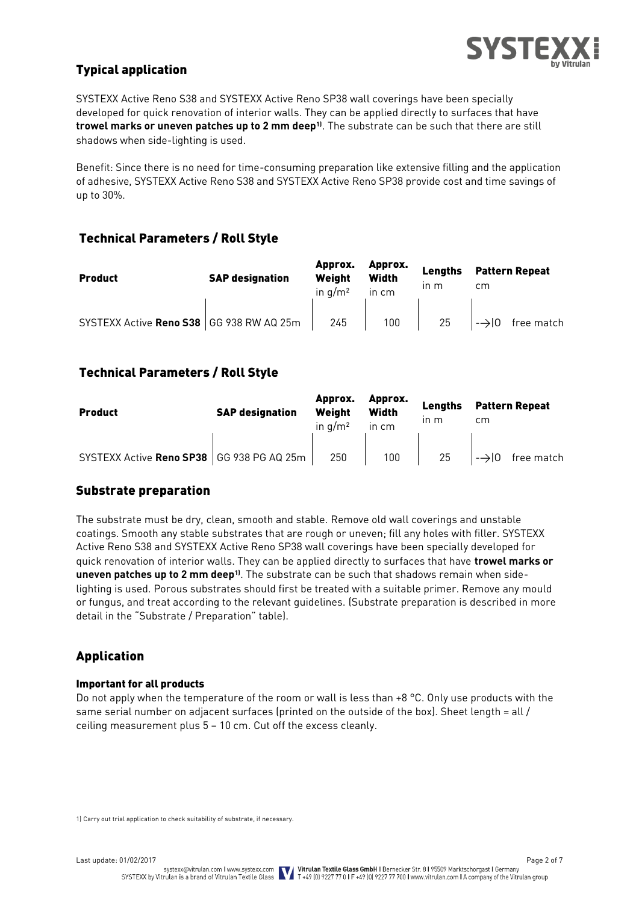

# Typical application

SYSTEXX Active Reno S38 and SYSTEXX Active Reno SP38 wall coverings have been specially developed for quick renovation of interior walls. They can be applied directly to surfaces that have **trowel marks or uneven patches up to 2 mm deep1)**. The substrate can be such that there are still shadows when side-lighting is used.

Benefit: Since there is no need for time-consuming preparation like extensive filling and the application of adhesive, SYSTEXX Active Reno S38 and SYSTEXX Active Reno SP38 provide cost and time savings of up to 30%.

## Technical Parameters / Roll Style

| <b>Product</b>                             | <b>SAP designation</b> | Approx.<br>Weight<br>in $a/m^2$ | Approx.<br><b>Width</b><br>in cm | Lengths<br>$\mathsf{In} \mathsf{m}$ | <b>Pattern Repeat</b><br>cm |  |
|--------------------------------------------|------------------------|---------------------------------|----------------------------------|-------------------------------------|-----------------------------|--|
| SYSTEXX Active Reno S38   GG 938 RW AQ 25m |                        | 245                             | 100                              | 25                                  | $\rightarrow$ 0 free match  |  |

### Technical Parameters / Roll Style

| <b>Product</b>                              | <b>SAP designation</b> | Approx.<br>Weiaht<br>in $a/m^2$ | Approx.<br><b>Width</b><br>in cm | Lengths<br>$\ln m$ | <b>Pattern Repeat</b><br>cm |  |
|---------------------------------------------|------------------------|---------------------------------|----------------------------------|--------------------|-----------------------------|--|
| SYSTEXX Active Reno SP38   GG 938 PG AQ 25m |                        | 250                             | 100 <sub>1</sub>                 | 25                 | $\rightarrow$ 0 free match  |  |

### Substrate preparation

The substrate must be dry, clean, smooth and stable. Remove old wall coverings and unstable coatings. Smooth any stable substrates that are rough or uneven; fill any holes with filler. SYSTEXX Active Reno S38 and SYSTEXX Active Reno SP38 wall coverings have been specially developed for quick renovation of interior walls. They can be applied directly to surfaces that have **trowel marks or uneven patches up to 2 mm deep1)**. The substrate can be such that shadows remain when sidelighting is used. Porous substrates should first be treated with a suitable primer. Remove any mould or fungus, and treat according to the relevant guidelines. (Substrate preparation is described in more detail in the "Substrate / Preparation" table).

## Application

#### Important for all products

Do not apply when the temperature of the room or wall is less than +8 °C. Only use products with the same serial number on adjacent surfaces (printed on the outside of the box). Sheet length = all  $/$ ceiling measurement plus 5 – 10 cm. Cut off the excess cleanly.

1) Carry out trial application to check suitability of substrate, if necessary.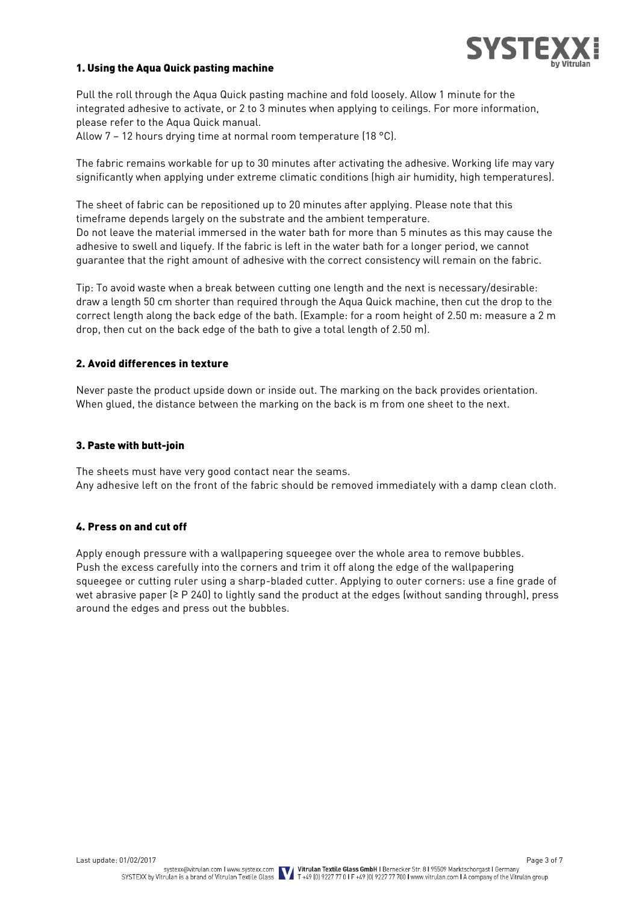

#### 1. Using the Aqua Quick pasting machine

Pull the roll through the Aqua Quick pasting machine and fold loosely. Allow 1 minute for the integrated adhesive to activate, or 2 to 3 minutes when applying to ceilings. For more information, please refer to the Aqua Quick manual.

Allow 7 – 12 hours drying time at normal room temperature (18 °C).

The fabric remains workable for up to 30 minutes after activating the adhesive. Working life may vary significantly when applying under extreme climatic conditions (high air humidity, high temperatures).

The sheet of fabric can be repositioned up to 20 minutes after applying. Please note that this timeframe depends largely on the substrate and the ambient temperature. Do not leave the material immersed in the water bath for more than 5 minutes as this may cause the adhesive to swell and liquefy. If the fabric is left in the water bath for a longer period, we cannot guarantee that the right amount of adhesive with the correct consistency will remain on the fabric.

Tip: To avoid waste when a break between cutting one length and the next is necessary/desirable: draw a length 50 cm shorter than required through the Aqua Quick machine, then cut the drop to the correct length along the back edge of the bath. (Example: for a room height of 2.50 m: measure a 2 m drop, then cut on the back edge of the bath to give a total length of 2.50 m).

#### 2. Avoid differences in texture

Never paste the product upside down or inside out. The marking on the back provides orientation. When glued, the distance between the marking on the back is m from one sheet to the next.

#### 3. Paste with butt-join

The sheets must have very good contact near the seams. Any adhesive left on the front of the fabric should be removed immediately with a damp clean cloth.

#### 4. Press on and cut off

Apply enough pressure with a wallpapering squeegee over the whole area to remove bubbles. Push the excess carefully into the corners and trim it off along the edge of the wallpapering squeegee or cutting ruler using a sharp-bladed cutter. Applying to outer corners: use a fine grade of wet abrasive paper (≥ P 240) to lightly sand the product at the edges (without sanding through), press around the edges and press out the bubbles.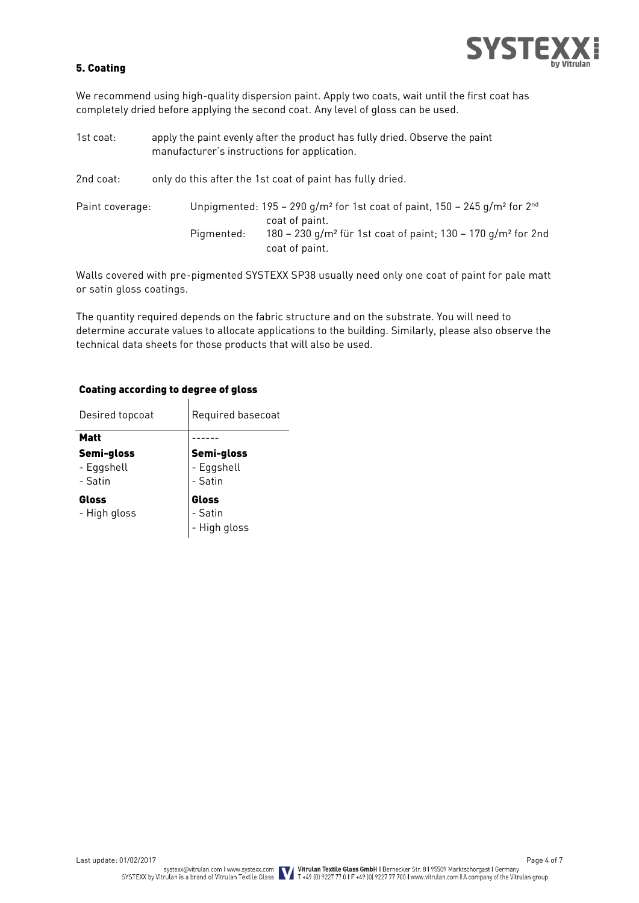

#### 5. Coating

We recommend using high-quality dispersion paint. Apply two coats, wait until the first coat has completely dried before applying the second coat. Any level of gloss can be used.

| 1st coat:       | apply the paint evenly after the product has fully dried. Observe the paint<br>manufacturer's instructions for application.                                                                                                                       |
|-----------------|---------------------------------------------------------------------------------------------------------------------------------------------------------------------------------------------------------------------------------------------------|
| 2nd coat:       | only do this after the 1st coat of paint has fully dried.                                                                                                                                                                                         |
| Paint coverage: | Unpigmented: $195 - 290$ g/m <sup>2</sup> for 1st coat of paint, $150 - 245$ g/m <sup>2</sup> for $2nd$<br>coat of paint.<br>180 - 230 g/m <sup>2</sup> für 1st coat of paint; 130 - 170 g/m <sup>2</sup> for 2nd<br>Pigmented:<br>coat of paint. |

Walls covered with pre-pigmented SYSTEXX SP38 usually need only one coat of paint for pale matt or satin gloss coatings.

The quantity required depends on the fabric structure and on the substrate. You will need to determine accurate values to allocate applications to the building. Similarly, please also observe the technical data sheets for those products that will also be used.

| Desired topcoat                     | Required basecoat                   |  |  |
|-------------------------------------|-------------------------------------|--|--|
| <b>Matt</b>                         |                                     |  |  |
| Semi-gloss<br>- Eggshell<br>- Satin | Semi-gloss<br>- Eggshell<br>- Satin |  |  |
| Gloss<br>- High gloss               | Gloss<br>- Satin<br>- High gloss    |  |  |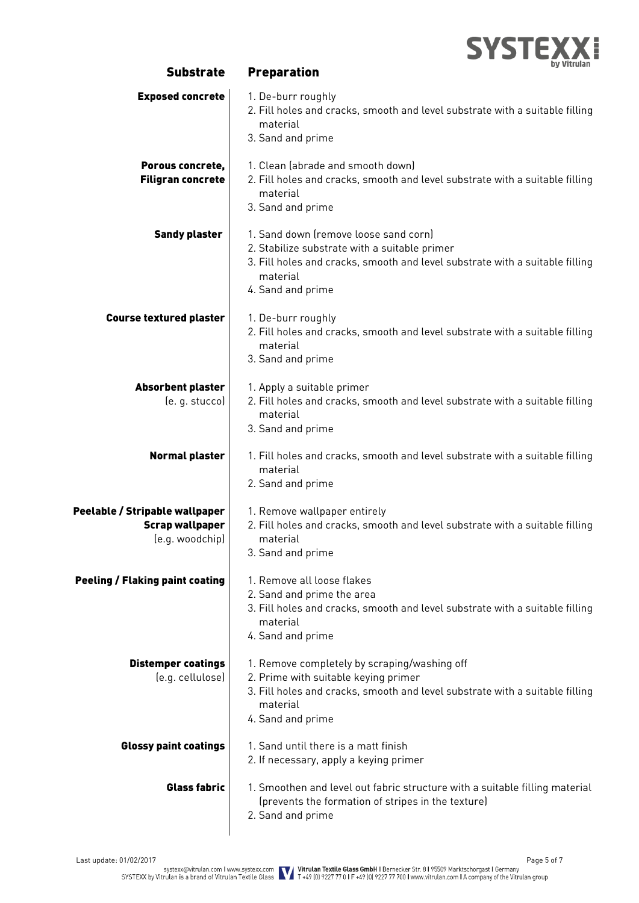

| <b>Exposed concrete</b>                                                     | 1. De-burr roughly<br>2. Fill holes and cracks, smooth and level substrate with a suitable filling<br>material<br>3. Sand and prime                                                                     |
|-----------------------------------------------------------------------------|---------------------------------------------------------------------------------------------------------------------------------------------------------------------------------------------------------|
| Porous concrete,<br><b>Filigran concrete</b>                                | 1. Clean labrade and smooth down)<br>2. Fill holes and cracks, smooth and level substrate with a suitable filling<br>material<br>3. Sand and prime                                                      |
| <b>Sandy plaster</b>                                                        | 1. Sand down (remove loose sand corn)<br>2. Stabilize substrate with a suitable primer<br>3. Fill holes and cracks, smooth and level substrate with a suitable filling<br>material<br>4. Sand and prime |
| <b>Course textured plaster</b>                                              | 1. De-burr roughly<br>2. Fill holes and cracks, smooth and level substrate with a suitable filling<br>material<br>3. Sand and prime                                                                     |
| Absorbent plaster<br>(e. g. stucco)                                         | 1. Apply a suitable primer<br>2. Fill holes and cracks, smooth and level substrate with a suitable filling<br>material<br>3. Sand and prime                                                             |
| <b>Normal plaster</b>                                                       | 1. Fill holes and cracks, smooth and level substrate with a suitable filling<br>material<br>2. Sand and prime                                                                                           |
| Peelable / Stripable wallpaper<br><b>Scrap wallpaper</b><br>(e.g. woodchip) | 1. Remove wallpaper entirely<br>2. Fill holes and cracks, smooth and level substrate with a suitable filling<br>material<br>3. Sand and prime                                                           |
| <b>Peeling / Flaking paint coating</b>                                      | 1. Remove all loose flakes<br>2. Sand and prime the area<br>3. Fill holes and cracks, smooth and level substrate with a suitable filling<br>material<br>4. Sand and prime                               |
| <b>Distemper coatings</b><br>(e.g. cellulose)                               | 1. Remove completely by scraping/washing off<br>2. Prime with suitable keying primer<br>3. Fill holes and cracks, smooth and level substrate with a suitable filling<br>material<br>4. Sand and prime   |
| <b>Glossy paint coatings</b>                                                | 1. Sand until there is a matt finish<br>2. If necessary, apply a keying primer                                                                                                                          |
| <b>Glass fabric</b>                                                         | 1. Smoothen and level out fabric structure with a suitable filling material<br>(prevents the formation of stripes in the texture)<br>2. Sand and prime                                                  |

Substrate Preparation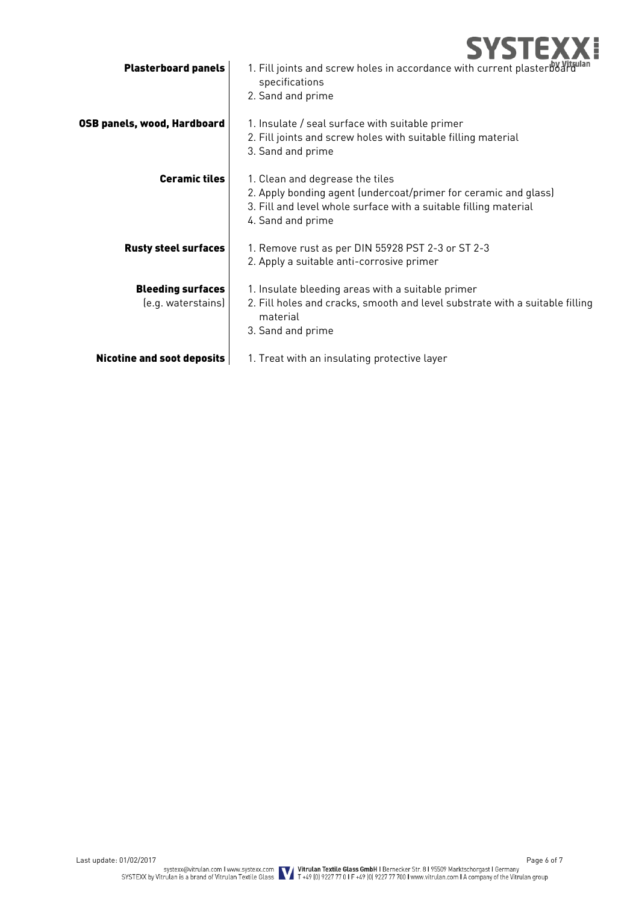

| <b>Plasterboard panels</b>                     | 1. Fill joints and screw holes in accordance with current plasterboard<br>specifications<br>2. Sand and prime                                                                               |
|------------------------------------------------|---------------------------------------------------------------------------------------------------------------------------------------------------------------------------------------------|
| OSB panels, wood, Hardboard                    | 1. Insulate / seal surface with suitable primer<br>2. Fill joints and screw holes with suitable filling material<br>3. Sand and prime                                                       |
| <b>Ceramic tiles</b>                           | 1. Clean and degrease the tiles<br>2. Apply bonding agent (undercoat/primer for ceramic and glass)<br>3. Fill and level whole surface with a suitable filling material<br>4. Sand and prime |
| <b>Rusty steel surfaces</b>                    | 1. Remove rust as per DIN 55928 PST 2-3 or ST 2-3<br>2. Apply a suitable anti-corrosive primer                                                                                              |
| <b>Bleeding surfaces</b><br>(e.g. waterstains) | 1. Insulate bleeding areas with a suitable primer<br>2. Fill holes and cracks, smooth and level substrate with a suitable filling<br>material<br>3. Sand and prime                          |
| <b>Nicotine and soot deposits</b>              | 1. Treat with an insulating protective layer                                                                                                                                                |